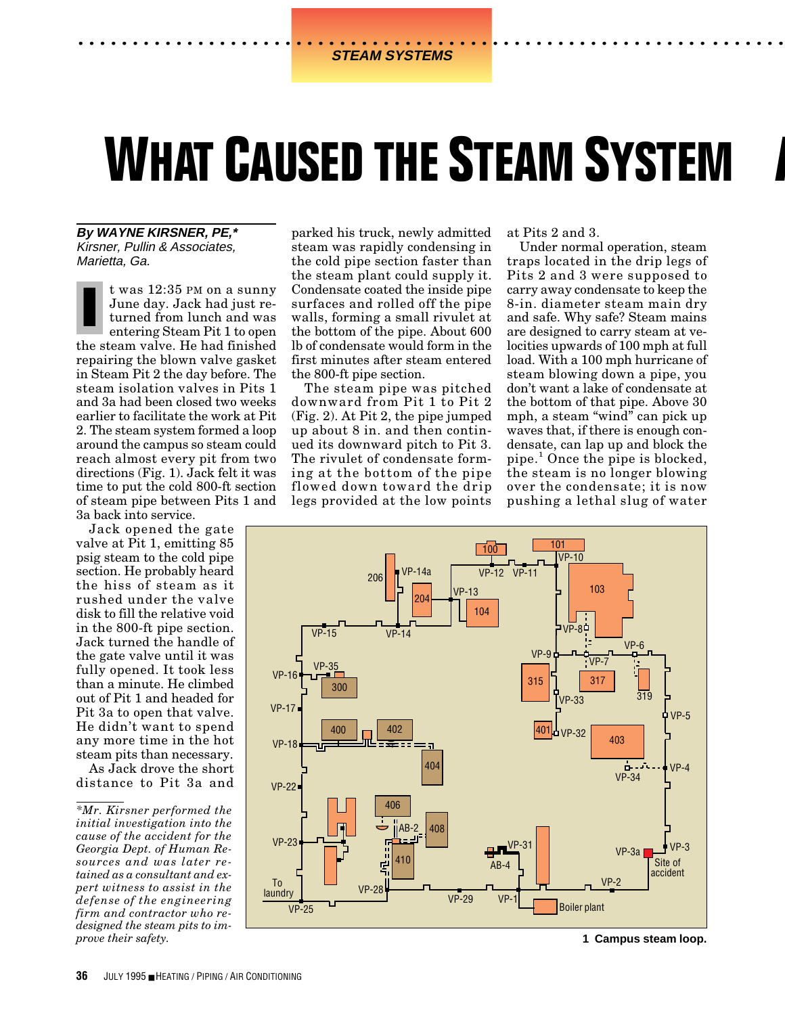# **WHAT CAUSED THE STEAM SYSTEM**

**By WAYNE KIRSNER, PE,\*** Kirsner, Pullin & Associates, Marietta, Ga.

t was 12:35 PM on a sunny June day. Jack had just returned from lunch and was entering Steam Pit 1 to open the steam valve. He had finished repairing the blown valve gasket in Steam Pit 2 the day before. The steam isolation valves in Pits 1 and 3a had been closed two weeks earlier to facilitate the work at Pit 2. The steam system formed a loop around the campus so steam could reach almost every pit from two directions (Fig. 1). Jack felt it was time to put the cold 800-ft section of steam pipe between Pits 1 and 3a back into service. **I**

Jack opened the gate valve at Pit 1, emitting 85 psig steam to the cold pipe section. He probably heard the hiss of steam as it rushed under the valve disk to fill the relative void in the 800-ft pipe section. Jack turned the handle of the gate valve until it was fully opened. It took less than a minute. He climbed out of Pit 1 and headed for Pit 3a to open that valve. He didn't want to spend any more time in the hot steam pits than necessary.

As Jack drove the short distance to Pit 3a and parked his truck, newly admitted steam was rapidly condensing in the cold pipe section faster than the steam plant could supply it. Condensate coated the inside pipe surfaces and rolled off the pipe walls, forming a small rivulet at the bottom of the pipe. About 600 lb of condensate would form in the first minutes after steam entered the 800-ft pipe section.

The steam pipe was pitched downward from Pit 1 to Pit 2 (Fig. 2). At Pit 2, the pipe jumped up about 8 in. and then continued its downward pitch to Pit 3. The rivulet of condensate forming at the bottom of the pipe flowed down toward the drip legs provided at the low points

at Pits 2 and 3.

Under normal operation, steam traps located in the drip legs of Pits 2 and 3 were supposed to carry away condensate to keep the 8-in. diameter steam main dry and safe. Why safe? Steam mains are designed to carry steam at velocities upwards of 100 mph at full load. With a 100 mph hurricane of steam blowing down a pipe, you don't want a lake of condensate at the bottom of that pipe. Above 30 mph, a steam "wind" can pick up waves that, if there is enough condensate, can lap up and block the pipe.<sup>1</sup> Once the pipe is blocked, the steam is no longer blowing over the condensate; it is now pushing a lethal slug of water

**.......**



**1 Campus steam loop.**

*<sup>\*</sup>Mr. Kirsner performed the initial investigation into the cause of the accident for the Georgia Dept. of Human Resources and was later retained as a consultant and expert witness to assist in the defense of the engineering firm and contractor who redesigned the steam pits to improve their safety.*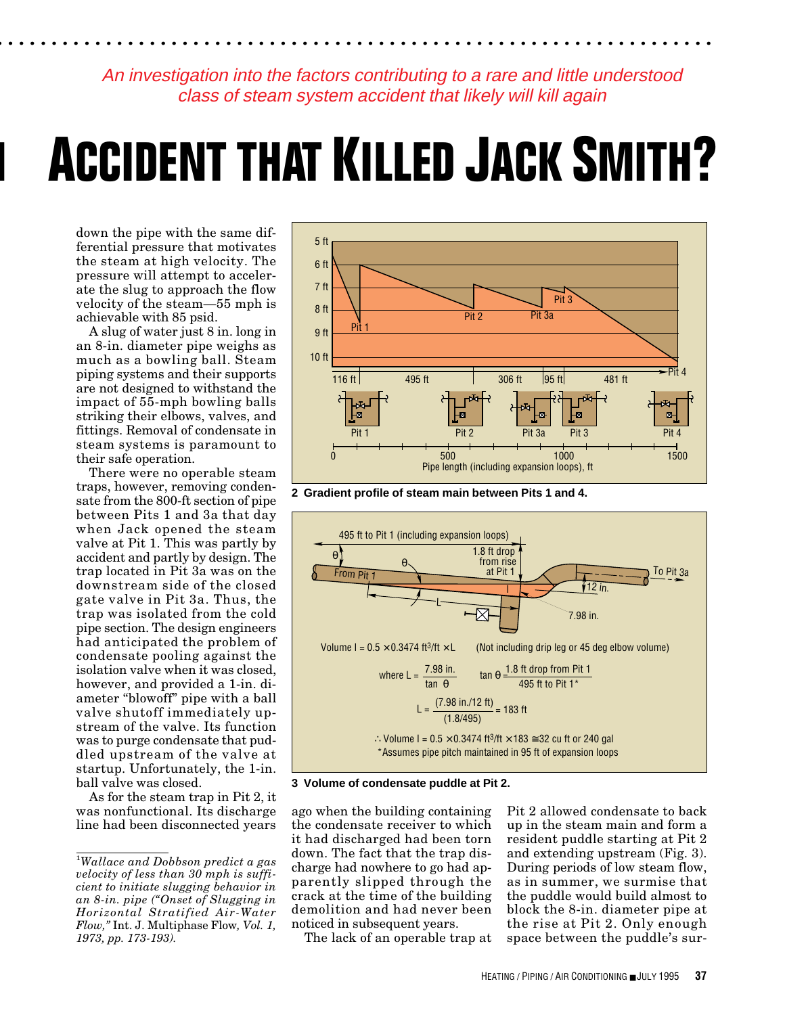An investigation into the factors contributing to a rare and little understood class of steam system accident that likely will kill again

**. .................................................................**

# **M ACCIDENT THAT KILLED JACK SMITH?**

down the pipe with the same differential pressure that motivates the steam at high velocity. The pressure will attempt to accelerate the slug to approach the flow velocity of the steam—55 mph is achievable with 85 psid.

A slug of water just 8 in. long in an 8-in. diameter pipe weighs as much as a bowling ball. Steam piping systems and their supports are not designed to withstand the impact of 55-mph bowling balls striking their elbows, valves, and fittings. Removal of condensate in steam systems is paramount to their safe operation.

There were no operable steam traps, however, removing condensate from the 800-ft section of pipe between Pits 1 and 3a that day when Jack opened the steam valve at Pit 1. This was partly by accident and partly by design. The trap located in Pit 3a was on the downstream side of the closed gate valve in Pit 3a. Thus, the trap was isolated from the cold pipe section. The design engineers had anticipated the problem of condensate pooling against the isolation valve when it was closed, however, and provided a 1-in. diameter "blowoff" pipe with a ball valve shutoff immediately upstream of the valve. Its function was to purge condensate that puddled upstream of the valve at startup. Unfortunately, the 1-in. ball valve was closed.

As for the steam trap in Pit 2, it was nonfunctional. Its discharge line had been disconnected years



**2 Gradient profile of steam main between Pits 1 and 4.**



**3 Volume of condensate puddle at Pit 2.**

ago when the building containing the condensate receiver to which it had discharged had been torn down. The fact that the trap discharge had nowhere to go had apparently slipped through the crack at the time of the building demolition and had never been noticed in subsequent years.

Pit 2 allowed condensate to back up in the steam main and form a resident puddle starting at Pit 2 and extending upstream (Fig. 3). During periods of low steam flow, as in summer, we surmise that the puddle would build almost to block the 8-in. diameter pipe at the rise at Pit 2. Only enough space between the puddle's sur-

The lack of an operable trap at

<sup>1</sup> *Wallace and Dobbson predict a gas velocity of less than 30 mph is sufficient to initiate slugging behavior in an 8-in. pipe ("Onset of Slugging in Horizontal Stratified Air-Water Flow,"* Int. J. Multiphase Flow*, Vol. 1, 1973, pp. 173-193).*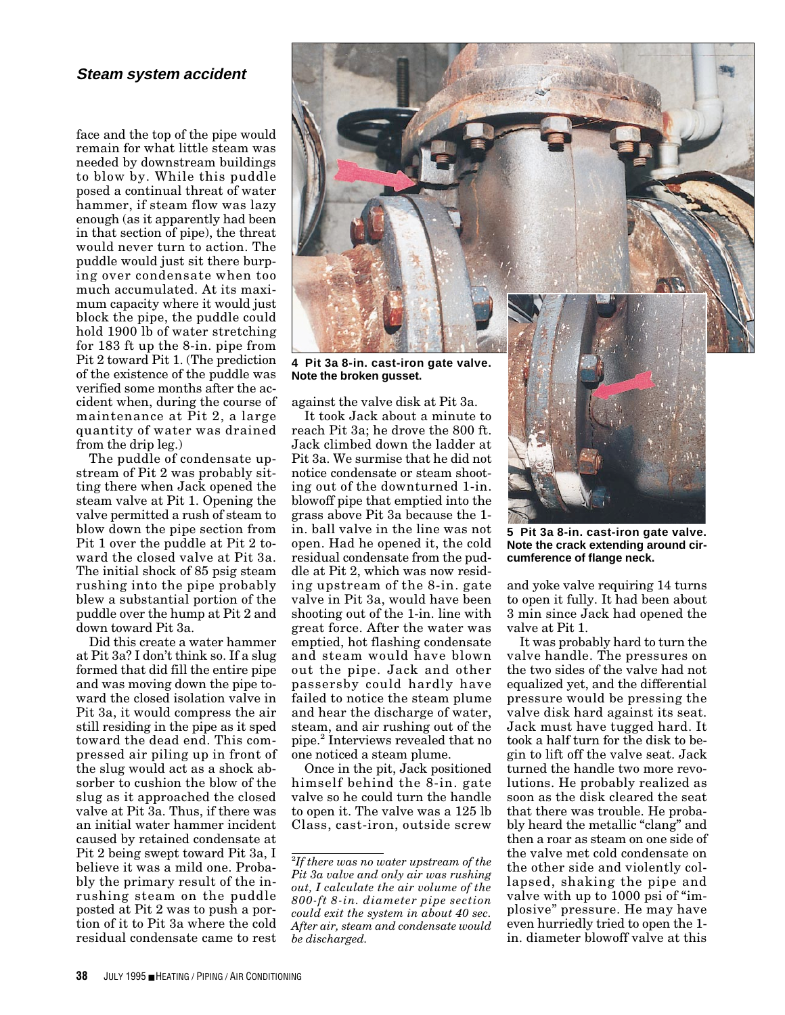# **Steam system accident**

face and the top of the pipe would remain for what little steam was needed by downstream buildings to blow by. While this puddle posed a continual threat of water hammer, if steam flow was lazy enough (as it apparently had been in that section of pipe), the threat would never turn to action. The puddle would just sit there burping over condensate when too much accumulated. At its maximum capacity where it would just block the pipe, the puddle could hold 1900 lb of water stretching for 183 ft up the 8-in. pipe from Pit 2 toward Pit 1. (The prediction of the existence of the puddle was verified some months after the accident when, during the course of maintenance at Pit 2, a large quantity of water was drained from the drip leg.)

The puddle of condensate upstream of Pit 2 was probably sitting there when Jack opened the steam valve at Pit 1. Opening the valve permitted a rush of steam to blow down the pipe section from Pit 1 over the puddle at Pit 2 toward the closed valve at Pit 3a. The initial shock of 85 psig steam rushing into the pipe probably blew a substantial portion of the puddle over the hump at Pit 2 and down toward Pit 3a.

Did this create a water hammer at Pit 3a? I don't think so. If a slug formed that did fill the entire pipe and was moving down the pipe toward the closed isolation valve in Pit 3a, it would compress the air still residing in the pipe as it sped toward the dead end. This compressed air piling up in front of the slug would act as a shock absorber to cushion the blow of the slug as it approached the closed valve at Pit 3a. Thus, if there was an initial water hammer incident caused by retained condensate at Pit 2 being swept toward Pit 3a, I believe it was a mild one. Probably the primary result of the inrushing steam on the puddle posted at Pit 2 was to push a portion of it to Pit 3a where the cold residual condensate came to rest



**Note the broken gusset.**

against the valve disk at Pit 3a.

It took Jack about a minute to reach Pit 3a; he drove the 800 ft. Jack climbed down the ladder at Pit 3a. We surmise that he did not notice condensate or steam shooting out of the downturned 1-in. blowoff pipe that emptied into the grass above Pit 3a because the 1 in. ball valve in the line was not open. Had he opened it, the cold residual condensate from the puddle at Pit 2, which was now residing upstream of the 8-in. gate valve in Pit 3a, would have been shooting out of the 1-in. line with great force. After the water was emptied, hot flashing condensate and steam would have blown out the pipe. Jack and other passersby could hardly have failed to notice the steam plume and hear the discharge of water, steam, and air rushing out of the pipe.2 Interviews revealed that no one noticed a steam plume.

Once in the pit, Jack positioned himself behind the 8-in. gate valve so he could turn the handle to open it. The valve was a 125 lb Class, cast-iron, outside screw

**5 Pit 3a 8-in. cast-iron gate valve. Note the crack extending around circumference of flange neck.**

and yoke valve requiring 14 turns to open it fully. It had been about 3 min since Jack had opened the valve at Pit 1.

It was probably hard to turn the valve handle. The pressures on the two sides of the valve had not equalized yet, and the differential pressure would be pressing the valve disk hard against its seat. Jack must have tugged hard. It took a half turn for the disk to begin to lift off the valve seat. Jack turned the handle two more revolutions. He probably realized as soon as the disk cleared the seat that there was trouble. He probably heard the metallic "clang" and then a roar as steam on one side of the valve met cold condensate on the other side and violently collapsed, shaking the pipe and valve with up to 1000 psi of "implosive" pressure. He may have even hurriedly tried to open the 1 in. diameter blowoff valve at this

<sup>2</sup> *If there was no water upstream of the Pit 3a valve and only air was rushing out, I calculate the air volume of the 800-ft 8-in. diameter pipe section could exit the system in about 40 sec. After air, steam and condensate would be discharged.*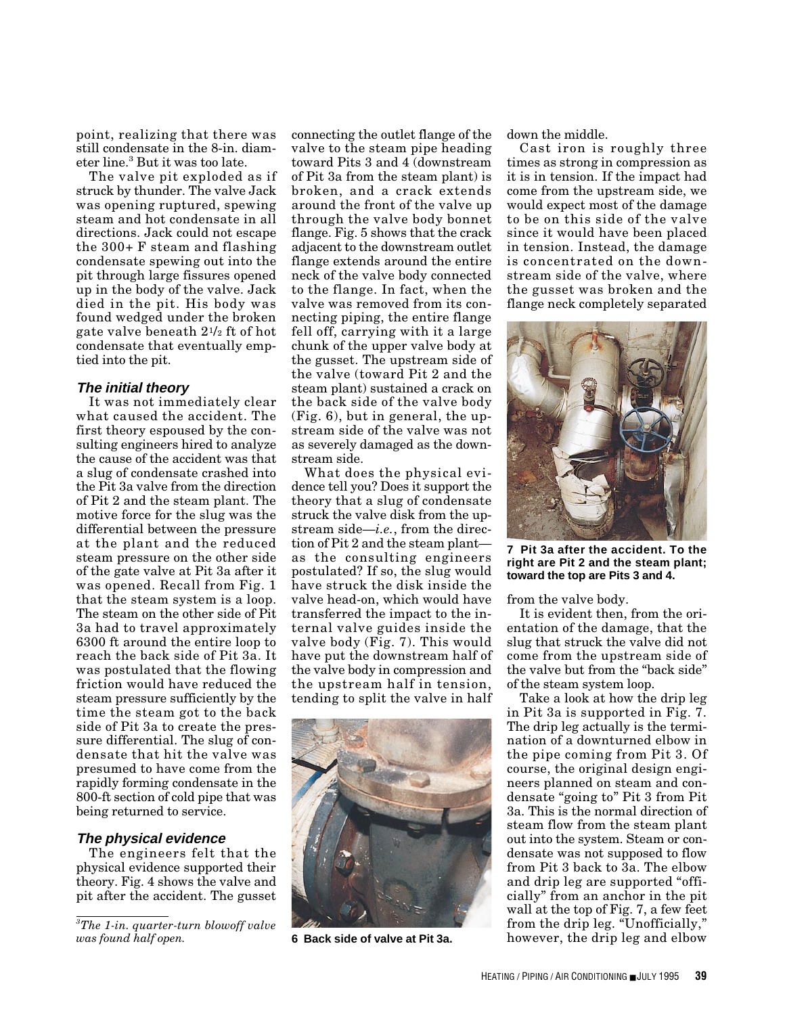point, realizing that there was still condensate in the 8-in. diameter line.<sup>3</sup> But it was too late.

The valve pit exploded as if struck by thunder. The valve Jack was opening ruptured, spewing steam and hot condensate in all directions. Jack could not escape the 300+ F steam and flashing condensate spewing out into the pit through large fissures opened up in the body of the valve. Jack died in the pit. His body was found wedged under the broken gate valve beneath 21/2 ft of hot condensate that eventually emptied into the pit.

### **The initial theory**

It was not immediately clear what caused the accident. The first theory espoused by the consulting engineers hired to analyze the cause of the accident was that a slug of condensate crashed into the Pit 3a valve from the direction of Pit 2 and the steam plant. The motive force for the slug was the differential between the pressure at the plant and the reduced steam pressure on the other side of the gate valve at Pit 3a after it was opened. Recall from Fig. 1 that the steam system is a loop. The steam on the other side of Pit 3a had to travel approximately 6300 ft around the entire loop to reach the back side of Pit 3a. It was postulated that the flowing friction would have reduced the steam pressure sufficiently by the time the steam got to the back side of Pit 3a to create the pressure differential. The slug of condensate that hit the valve was presumed to have come from the rapidly forming condensate in the 800-ft section of cold pipe that was being returned to service.

# **The physical evidence**

The engineers felt that the physical evidence supported their theory. Fig. 4 shows the valve and pit after the accident. The gusset

connecting the outlet flange of the valve to the steam pipe heading toward Pits 3 and 4 (downstream of Pit 3a from the steam plant) is broken, and a crack extends around the front of the valve up through the valve body bonnet flange. Fig. 5 shows that the crack adjacent to the downstream outlet flange extends around the entire neck of the valve body connected to the flange. In fact, when the valve was removed from its connecting piping, the entire flange fell off, carrying with it a large chunk of the upper valve body at the gusset. The upstream side of the valve (toward Pit 2 and the steam plant) sustained a crack on the back side of the valve body (Fig. 6), but in general, the upstream side of the valve was not as severely damaged as the downstream side.

What does the physical evidence tell you? Does it support the theory that a slug of condensate struck the valve disk from the upstream side—*i.e.*, from the direction of Pit 2 and the steam plant as the consulting engineers postulated? If so, the slug would have struck the disk inside the valve head-on, which would have transferred the impact to the internal valve guides inside the valve body (Fig. 7). This would have put the downstream half of the valve body in compression and the upstream half in tension, tending to split the valve in half



**6 Back side of valve at Pit 3a.**

down the middle.

Cast iron is roughly three times as strong in compression as it is in tension. If the impact had come from the upstream side, we would expect most of the damage to be on this side of the valve since it would have been placed in tension. Instead, the damage is concentrated on the downstream side of the valve, where the gusset was broken and the flange neck completely separated



**7 Pit 3a after the accident. To the right are Pit 2 and the steam plant; toward the top are Pits 3 and 4.**

from the valve body.

It is evident then, from the orientation of the damage, that the slug that struck the valve did not come from the upstream side of the valve but from the "back side" of the steam system loop.

Take a look at how the drip leg in Pit 3a is supported in Fig. 7. The drip leg actually is the termination of a downturned elbow in the pipe coming from Pit 3. Of course, the original design engineers planned on steam and condensate "going to" Pit 3 from Pit 3a. This is the normal direction of steam flow from the steam plant out into the system. Steam or condensate was not supposed to flow from Pit 3 back to 3a. The elbow and drip leg are supported "officially" from an anchor in the pit wall at the top of Fig. 7, a few feet from the drip leg. "Unofficially," however, the drip leg and elbow

*<sup>3</sup> The 1-in. quarter-turn blowoff valve was found half open.*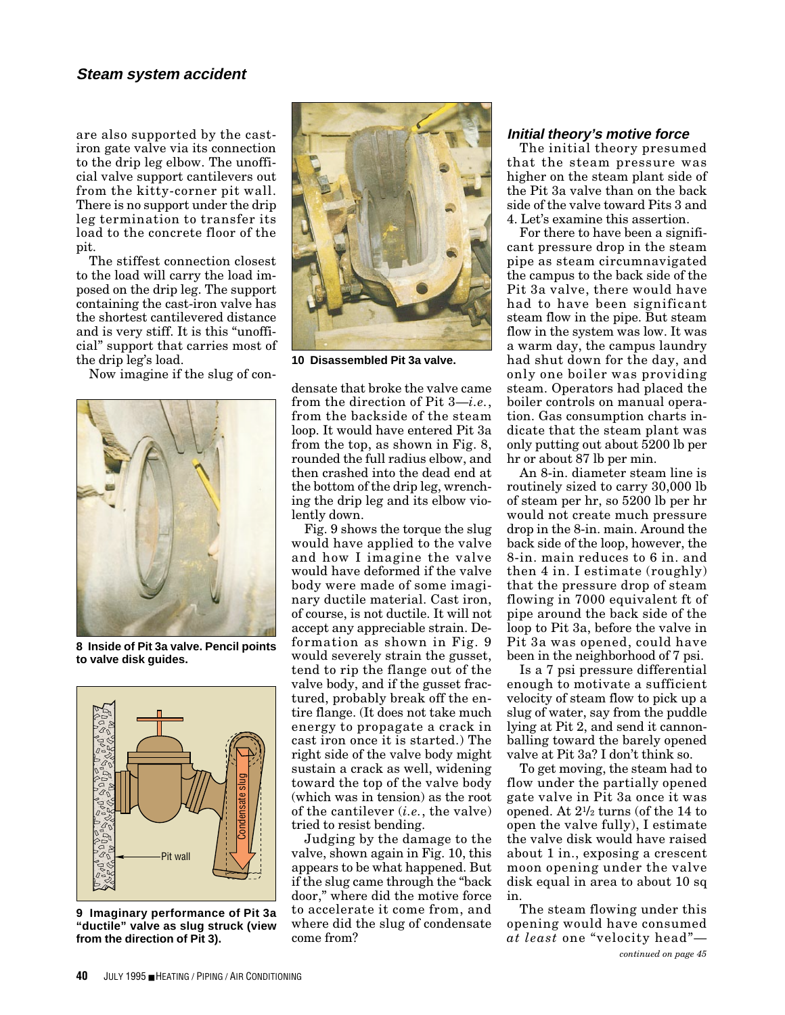# **Steam system accident**

are also supported by the castiron gate valve via its connection to the drip leg elbow. The unofficial valve support cantilevers out from the kitty-corner pit wall. There is no support under the drip leg termination to transfer its load to the concrete floor of the pit.

The stiffest connection closest to the load will carry the load imposed on the drip leg. The support containing the cast-iron valve has the shortest cantilevered distance and is very stiff. It is this "unofficial" support that carries most of the drip leg's load.

Now imagine if the slug of con-



**8 Inside of Pit 3a valve. Pencil points to valve disk guides.**



 **"ductile" valve as slug struck (view 9 Imaginary performance of Pit 3a from the direction of Pit 3).**



**10 Disassembled Pit 3a valve.**

densate that broke the valve came from the direction of Pit 3—*i.e.*, from the backside of the steam loop. It would have entered Pit 3a from the top, as shown in Fig. 8, rounded the full radius elbow, and then crashed into the dead end at the bottom of the drip leg, wrenching the drip leg and its elbow violently down.

Fig. 9 shows the torque the slug would have applied to the valve and how I imagine the valve would have deformed if the valve body were made of some imaginary ductile material. Cast iron, of course, is not ductile. It will not accept any appreciable strain. Deformation as shown in Fig. 9 would severely strain the gusset, tend to rip the flange out of the valve body, and if the gusset fractured, probably break off the entire flange. (It does not take much energy to propagate a crack in cast iron once it is started.) The right side of the valve body might sustain a crack as well, widening toward the top of the valve body (which was in tension) as the root of the cantilever (*i.e.*, the valve) tried to resist bending.

Judging by the damage to the valve, shown again in Fig. 10, this appears to be what happened. But if the slug came through the "back door," where did the motive force to accelerate it come from, and where did the slug of condensate come from?

### **Initial theory's motive force**

The initial theory presumed that the steam pressure was higher on the steam plant side of the Pit 3a valve than on the back side of the valve toward Pits 3 and 4. Let's examine this assertion.

For there to have been a significant pressure drop in the steam pipe as steam circumnavigated the campus to the back side of the Pit 3a valve, there would have had to have been significant steam flow in the pipe. But steam flow in the system was low. It was a warm day, the campus laundry had shut down for the day, and only one boiler was providing steam. Operators had placed the boiler controls on manual operation. Gas consumption charts indicate that the steam plant was only putting out about 5200 lb per hr or about 87 lb per min.

An 8-in. diameter steam line is routinely sized to carry 30,000 lb of steam per hr, so 5200 lb per hr would not create much pressure drop in the 8-in. main. Around the back side of the loop, however, the 8-in. main reduces to 6 in. and then 4 in. I estimate (roughly) that the pressure drop of steam flowing in 7000 equivalent ft of pipe around the back side of the loop to Pit 3a, before the valve in Pit 3a was opened, could have been in the neighborhood of 7 psi.

Is a 7 psi pressure differential enough to motivate a sufficient velocity of steam flow to pick up a slug of water, say from the puddle lying at Pit 2, and send it cannonballing toward the barely opened valve at Pit 3a? I don't think so.

To get moving, the steam had to flow under the partially opened gate valve in Pit 3a once it was opened. At 21/2 turns (of the 14 to open the valve fully), I estimate the valve disk would have raised about 1 in., exposing a crescent moon opening under the valve disk equal in area to about 10 sq in.

The steam flowing under this opening would have consumed *at least* one "velocity head"—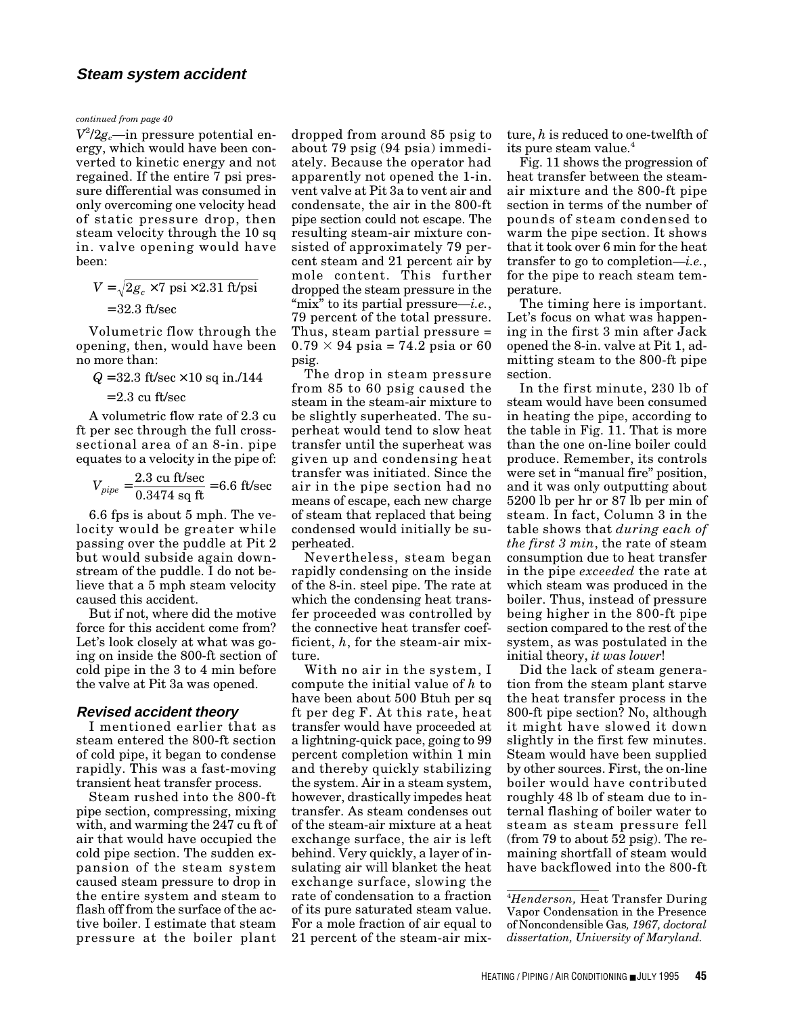*continued from page 40*

*V*2 /2*gc*—in pressure potential energy, which would have been converted to kinetic energy and not regained. If the entire 7 psi pressure differential was consumed in only overcoming one velocity head of static pressure drop, then steam velocity through the 10 sq in. valve opening would have been:

 $V = \sqrt{2}g_c \times 7 \text{ psi} \times 2.31 \text{ ft/psi}$ = 32 3 . ft/sec

Volumetric flow through the opening, then, would have been no more than:

 $Q = 32.3 \text{ ft/sec} \times 10 \text{ sq in.}/144$ 

= 2 3 . cu ft/sec

A volumetric flow rate of 2.3 cu ft per sec through the full crosssectional area of an 8-in. pipe equates to a velocity in the pipe of:

$$
V_{pipe} = \frac{2.3 \text{ cu ft/sec}}{0.3474 \text{ sq ft}} = 6.6 \text{ ft/sec}
$$

6.6 fps is about 5 mph. The velocity would be greater while passing over the puddle at Pit 2 but would subside again downstream of the puddle. I do not believe that a 5 mph steam velocity caused this accident.

But if not, where did the motive force for this accident come from? Let's look closely at what was going on inside the 800-ft section of cold pipe in the 3 to 4 min before the valve at Pit 3a was opened.

# **Revised accident theory**

I mentioned earlier that as steam entered the 800-ft section of cold pipe, it began to condense rapidly. This was a fast-moving transient heat transfer process.

Steam rushed into the 800-ft pipe section, compressing, mixing with, and warming the 247 cu ft of air that would have occupied the cold pipe section. The sudden expansion of the steam system caused steam pressure to drop in the entire system and steam to flash off from the surface of the active boiler. I estimate that steam pressure at the boiler plant

dropped from around 85 psig to about 79 psig (94 psia) immediately. Because the operator had apparently not opened the 1-in. vent valve at Pit 3a to vent air and condensate, the air in the 800-ft pipe section could not escape. The resulting steam-air mixture consisted of approximately 79 percent steam and 21 percent air by mole content. This further dropped the steam pressure in the "mix" to its partial pressure—*i.e.*, 79 percent of the total pressure. Thus, steam partial pressure =  $0.79 \times 94$  psia = 74.2 psia or 60 psig.

The drop in steam pressure from 85 to 60 psig caused the steam in the steam-air mixture to be slightly superheated. The superheat would tend to slow heat transfer until the superheat was given up and condensing heat transfer was initiated. Since the air in the pipe section had no means of escape, each new charge of steam that replaced that being condensed would initially be superheated.

Nevertheless, steam began rapidly condensing on the inside of the 8-in. steel pipe. The rate at which the condensing heat transfer proceeded was controlled by the connective heat transfer coefficient, *h*, for the steam-air mixture.

With no air in the system, I compute the initial value of *h* to have been about 500 Btuh per sq ft per deg F. At this rate, heat transfer would have proceeded at a lightning-quick pace, going to 99 percent completion within 1 min and thereby quickly stabilizing the system. Air in a steam system, however, drastically impedes heat transfer. As steam condenses out of the steam-air mixture at a heat exchange surface, the air is left behind. Very quickly, a layer of insulating air will blanket the heat exchange surface, slowing the rate of condensation to a fraction of its pure saturated steam value. For a mole fraction of air equal to 21 percent of the steam-air mixture, *h* is reduced to one-twelfth of its pure steam value.<sup>4</sup>

Fig. 11 shows the progression of heat transfer between the steamair mixture and the 800-ft pipe section in terms of the number of pounds of steam condensed to warm the pipe section. It shows that it took over 6 min for the heat transfer to go to completion—*i.e.*, for the pipe to reach steam temperature.

The timing here is important. Let's focus on what was happening in the first 3 min after Jack opened the 8-in. valve at Pit 1, admitting steam to the 800-ft pipe section.

In the first minute, 230 lb of steam would have been consumed in heating the pipe, according to the table in Fig. 11. That is more than the one on-line boiler could produce. Remember, its controls were set in "manual fire" position, and it was only outputting about 5200 lb per hr or 87 lb per min of steam. In fact, Column 3 in the table shows that *during each of the first 3 min*, the rate of steam consumption due to heat transfer in the pipe *exceeded* the rate at which steam was produced in the boiler. Thus, instead of pressure being higher in the 800-ft pipe section compared to the rest of the system, as was postulated in the initial theory, *it was lower*!

Did the lack of steam generation from the steam plant starve the heat transfer process in the 800-ft pipe section? No, although it might have slowed it down slightly in the first few minutes. Steam would have been supplied by other sources. First, the on-line boiler would have contributed roughly 48 lb of steam due to internal flashing of boiler water to steam as steam pressure fell (from 79 to about 52 psig). The remaining shortfall of steam would have backflowed into the 800-ft

4 *Henderson,* Heat Transfer During Vapor Condensation in the Presence of Noncondensible Gas*, 1967, doctoral dissertation, University of Maryland.*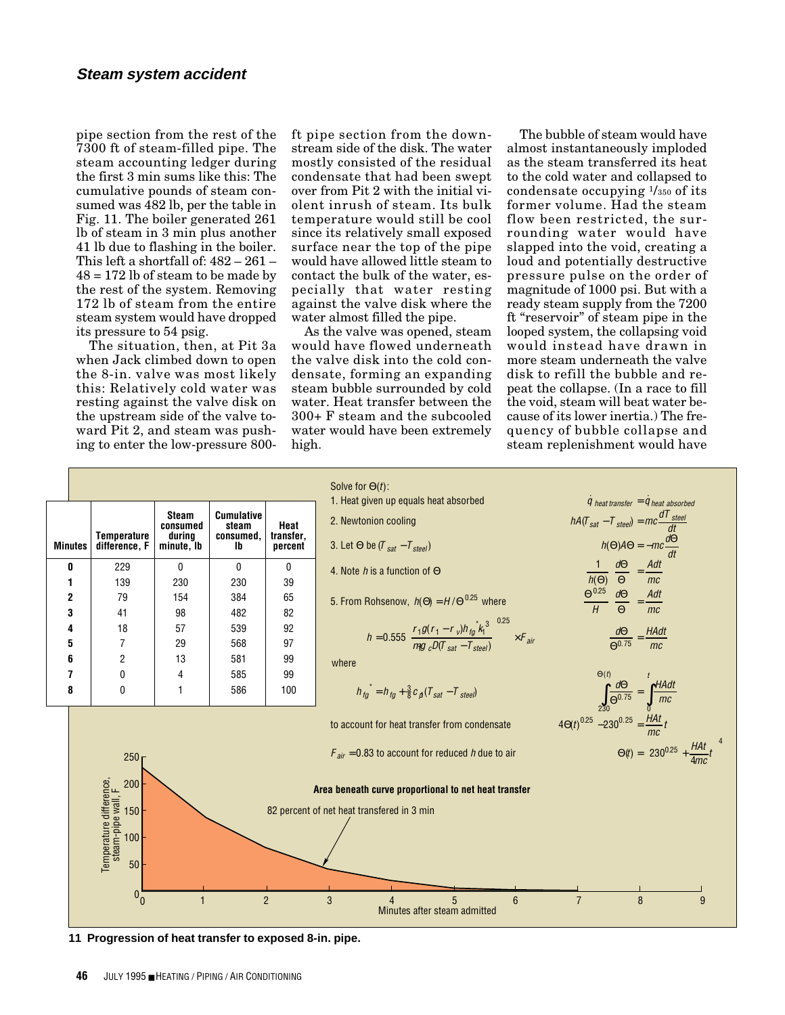pipe section from the rest of the 7300 ft of steam-filled pipe. The steam accounting ledger during the first 3 min sums like this: The cumulative pounds of steam consumed was 482 lb, per the table in Fig. 11. The boiler generated 261 lb of steam in 3 min plus another 41 lb due to flashing in the boiler. This left a shortfall of: 482 – 261 –  $48 = 172$  lb of steam to be made by the rest of the system. Removing 172 lb of steam from the entire steam system would have dropped its pressure to 54 psig.

The situation, then, at Pit 3a when Jack climbed down to open the 8-in. valve was most likely this: Relatively cold water was resting against the valve disk on the upstream side of the valve toward Pit 2, and steam was pushing to enter the low-pressure 800ft pipe section from the downstream side of the disk. The water mostly consisted of the residual condensate that had been swept over from Pit 2 with the initial violent inrush of steam. Its bulk temperature would still be cool since its relatively small exposed surface near the top of the pipe would have allowed little steam to contact the bulk of the water, especially that water resting against the valve disk where the water almost filled the pipe.

As the valve was opened, steam would have flowed underneath the valve disk into the cold condensate, forming an expanding steam bubble surrounded by cold water. Heat transfer between the 300+ F steam and the subcooled water would have been extremely high.

The bubble of steam would have almost instantaneously imploded as the steam transferred its heat to the cold water and collapsed to condensate occupying  $\frac{1}{350}$  of its former volume. Had the steam flow been restricted, the surrounding water would have slapped into the void, creating a loud and potentially destructive pressure pulse on the order of magnitude of 1000 psi. But with a ready steam supply from the 7200 ft "reservoir" of steam pipe in the looped system, the collapsing void would instead have drawn in more steam underneath the valve disk to refill the bubble and repeat the collapse. (In a race to fill the void, steam will beat water because of its lower inertia.) The frequency of bubble collapse and steam replenishment would have



**11 Progression of heat transfer to exposed 8-in. pipe.**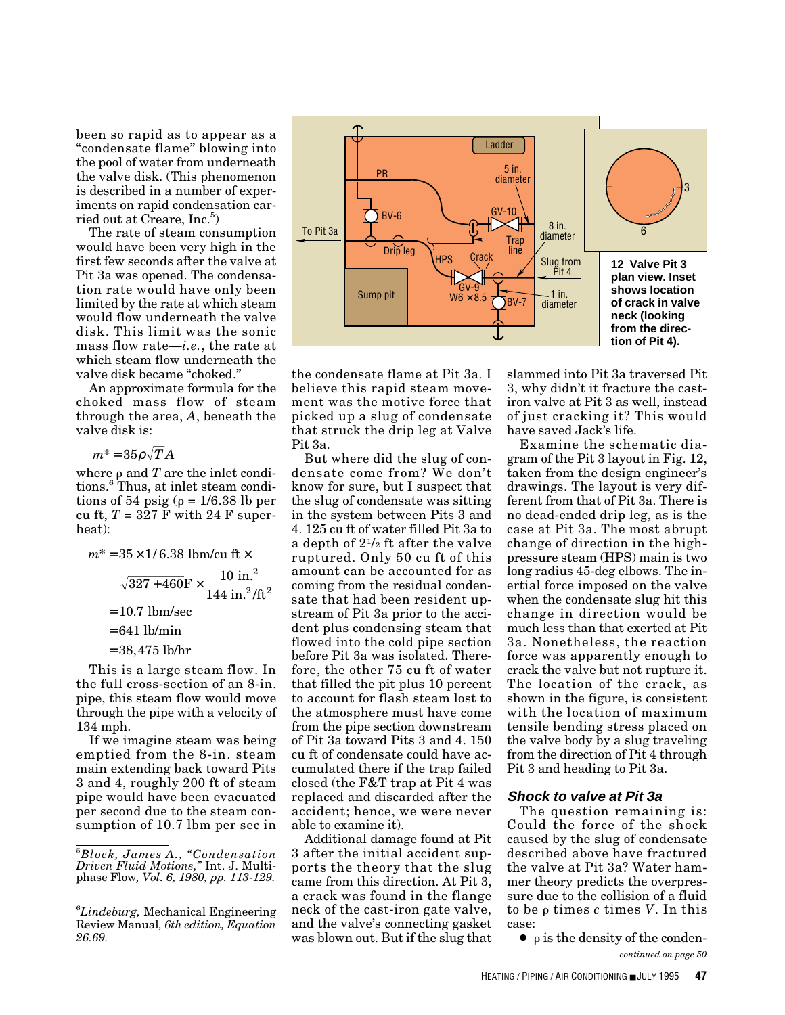been so rapid as to appear as a "condensate flame" blowing into the pool of water from underneath the valve disk. (This phenomenon is described in a number of experiments on rapid condensation carried out at Creare, Inc.<sup>5</sup>)

The rate of steam consumption would have been very high in the first few seconds after the valve at Pit 3a was opened. The condensation rate would have only been limited by the rate at which steam would flow underneath the valve disk. This limit was the sonic mass flow rate—*i.e.*, the rate at which steam flow underneath the valve disk became "choked."

An approximate formula for the choked mass flow of steam through the area, *A*, beneath the valve disk is:

$$
m^* = 35 \rho \sqrt{T} A
$$

where  $\rho$  and  $T$  are the inlet conditions.<sup>6</sup> Thus, at inlet steam conditions of 54 psig ( $\rho = 1/6.38$  lb per cu ft,  $T = 327$  F with 24 F superheat):

$$
m^* = 35 \times 1/6.38 \text{ lbm/cu ft} \times
$$

$$
\sqrt{327 + 460} \text{F} \times \frac{10 \text{ in.}^2}{144 \text{ in.}^2/\text{ft}^2}
$$

$$
= 10.7 \text{ lbm/sec}
$$

$$
= 641 \text{ lb/min}
$$

= 38,475 lb/hr

This is a large steam flow. In the full cross-section of an 8-in. pipe, this steam flow would move through the pipe with a velocity of 134 mph.

If we imagine steam was being emptied from the 8-in. steam main extending back toward Pits 3 and 4, roughly 200 ft of steam pipe would have been evacuated per second due to the steam consumption of 10.7 lbm per sec in



the condensate flame at Pit 3a. I believe this rapid steam movement was the motive force that picked up a slug of condensate that struck the drip leg at Valve Pit 3a.

But where did the slug of condensate come from? We don't know for sure, but I suspect that the slug of condensate was sitting in the system between Pits 3 and 4. 125 cu ft of water filled Pit 3a to a depth of 21/2 ft after the valve ruptured. Only 50 cu ft of this amount can be accounted for as coming from the residual condensate that had been resident upstream of Pit 3a prior to the accident plus condensing steam that flowed into the cold pipe section before Pit 3a was isolated. Therefore, the other 75 cu ft of water that filled the pit plus 10 percent to account for flash steam lost to the atmosphere must have come from the pipe section downstream of Pit 3a toward Pits 3 and 4. 150 cu ft of condensate could have accumulated there if the trap failed closed (the F&T trap at Pit 4 was replaced and discarded after the accident; hence, we were never able to examine it).

Additional damage found at Pit 3 after the initial accident supports the theory that the slug came from this direction. At Pit 3, a crack was found in the flange neck of the cast-iron gate valve, and the valve's connecting gasket was blown out. But if the slug that slammed into Pit 3a traversed Pit 3, why didn't it fracture the castiron valve at Pit 3 as well, instead of just cracking it? This would have saved Jack's life.

Examine the schematic diagram of the Pit 3 layout in Fig. 12, taken from the design engineer's drawings. The layout is very different from that of Pit 3a. There is no dead-ended drip leg, as is the case at Pit 3a. The most abrupt change of direction in the highpressure steam (HPS) main is two long radius 45-deg elbows. The inertial force imposed on the valve when the condensate slug hit this change in direction would be much less than that exerted at Pit 3a. Nonetheless, the reaction force was apparently enough to crack the valve but not rupture it. The location of the crack, as shown in the figure, is consistent with the location of maximum tensile bending stress placed on the valve body by a slug traveling from the direction of Pit 4 through Pit 3 and heading to Pit 3a.

#### **Shock to valve at Pit 3a**

The question remaining is: Could the force of the shock caused by the slug of condensate described above have fractured the valve at Pit 3a? Water hammer theory predicts the overpressure due to the collision of a fluid to be *ρ* times *c* times *V*. In this case:

 $\bullet$  p is the density of the conden*continued on page 50*

<sup>5</sup> *Block, James A., "Condensation Driven Fluid Motions,"* Int. J. Multiphase Flow*, Vol. 6, 1980, pp. 113-129.*

<sup>6</sup> *Lindeburg,* Mechanical Engineering Review Manual*, 6th edition, Equation 26.69.*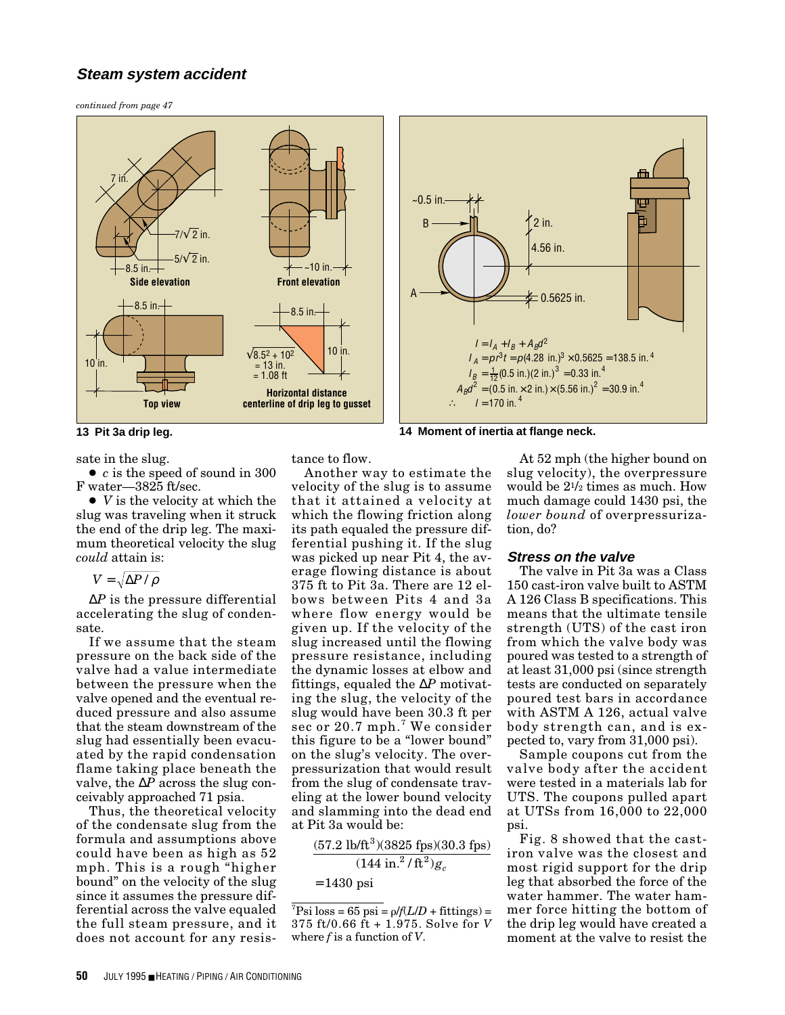# **Steam system accident**

*continued from page 47*





**13 Pit 3a drip leg. 14 Moment of inertia at flange neck.**

sate in the slug. ● *c* is the speed of sound in 300 F water—3825 ft/sec.

● *V* is the velocity at which the slug was traveling when it struck the end of the drip leg. The maximum theoretical velocity the slug *could* attain is:

$$
V = \sqrt{\Delta P / \rho}
$$

∆*P* is the pressure differential accelerating the slug of condensate.

If we assume that the steam pressure on the back side of the valve had a value intermediate between the pressure when the valve opened and the eventual reduced pressure and also assume that the steam downstream of the slug had essentially been evacuated by the rapid condensation flame taking place beneath the valve, the ∆*P* across the slug conceivably approached 71 psia.

Thus, the theoretical velocity of the condensate slug from the formula and assumptions above could have been as high as 52 mph. This is a rough "higher bound" on the velocity of the slug since it assumes the pressure differential across the valve equaled the full steam pressure, and it does not account for any resisAnother way to estimate the

tance to flow.

velocity of the slug is to assume that it attained a velocity at which the flowing friction along its path equaled the pressure differential pushing it. If the slug was picked up near Pit 4, the average flowing distance is about 375 ft to Pit 3a. There are 12 elbows between Pits 4 and 3a where flow energy would be given up. If the velocity of the slug increased until the flowing pressure resistance, including the dynamic losses at elbow and fittings, equaled the ∆*P* motivating the slug, the velocity of the slug would have been 30.3 ft per sec or 20.7 mph.<sup>7</sup> We consider this figure to be a "lower bound" on the slug's velocity. The overpressurization that would result from the slug of condensate traveling at the lower bound velocity and slamming into the dead end at Pit 3a would be:

$$
\frac{(57.2 \text{ lb/ft}^3)(3825 \text{ fps})(30.3 \text{ fps})}{(144 \text{ in.}^2/\text{ft}^2)g_c}
$$

= 1430 psi

At 52 mph (the higher bound on slug velocity), the overpressure would be 21/2 times as much. How much damage could 1430 psi, the *lower bound* of overpressurization, do?

#### **Stress on the valve**

The valve in Pit 3a was a Class 150 cast-iron valve built to ASTM A 126 Class B specifications. This means that the ultimate tensile strength (UTS) of the cast iron from which the valve body was poured was tested to a strength of at least 31,000 psi (since strength tests are conducted on separately poured test bars in accordance with ASTM A 126, actual valve body strength can, and is expected to, vary from 31,000 psi).

Sample coupons cut from the valve body after the accident were tested in a materials lab for UTS. The coupons pulled apart at UTSs from 16,000 to 22,000 psi.

Fig. 8 showed that the castiron valve was the closest and most rigid support for the drip leg that absorbed the force of the water hammer. The water hammer force hitting the bottom of the drip leg would have created a moment at the valve to resist the

 ${}^{7}$ Psi loss = 65 psi =  $\rho$ /*f*(*L*/*D* + fittings) = 375 ft/0.66 ft + 1.975. Solve for *V* where *f* is a function of *V*.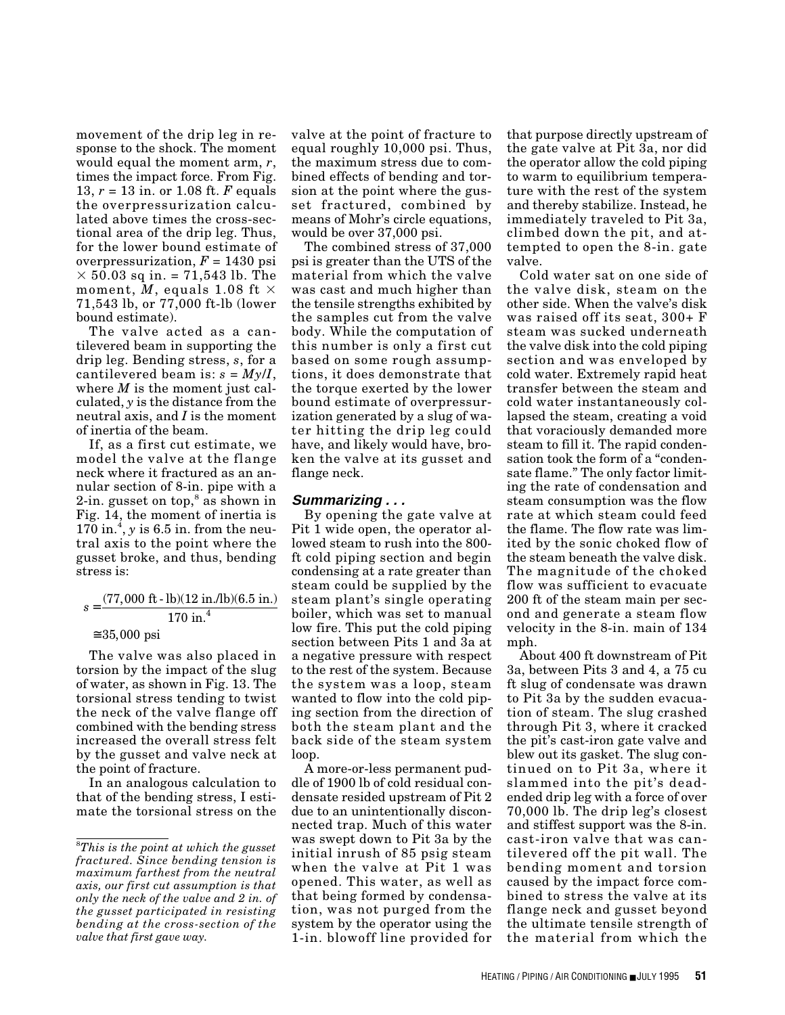movement of the drip leg in response to the shock. The moment would equal the moment arm, *r*, times the impact force. From Fig. 13, *r* = 13 in. or 1.08 ft. *F* equals the overpressurization calculated above times the cross-sectional area of the drip leg. Thus, for the lower bound estimate of overpressurization,  $F = 1430$  psi  $\times$  50.03 sq in. = 71,543 lb. The moment, *M*, equals 1.08 ft  $\times$ 71,543 lb, or 77,000 ft-lb (lower bound estimate).

The valve acted as a cantilevered beam in supporting the drip leg. Bending stress, *s*, for a cantilevered beam is:  $s = My/I$ , where *M* is the moment just calculated, *y* is the distance from the neutral axis, and *I* is the moment of inertia of the beam.

If, as a first cut estimate, we model the valve at the flange neck where it fractured as an annular section of 8-in. pipe with a 2-in. gusset on top, $s$  as shown in Fig. 14, the moment of inertia is  $170$  in.<sup>4</sup>, y is 6.5 in. from the neutral axis to the point where the gusset broke, and thus, bending stress is:

#### $s = \frac{(77,000)}{1}$  $\cong$   $35,000\,\,\mathrm{psi}$ 170 ft - lb)(12 in./lb)(6.5 in.) in. 4

The valve was also placed in torsion by the impact of the slug of water, as shown in Fig. 13. The torsional stress tending to twist the neck of the valve flange off combined with the bending stress increased the overall stress felt by the gusset and valve neck at the point of fracture.

In an analogous calculation to that of the bending stress, I estimate the torsional stress on the valve at the point of fracture to equal roughly 10,000 psi. Thus, the maximum stress due to combined effects of bending and torsion at the point where the gusset fractured, combined by means of Mohr's circle equations, would be over 37,000 psi.

The combined stress of 37,000 psi is greater than the UTS of the material from which the valve was cast and much higher than the tensile strengths exhibited by the samples cut from the valve body. While the computation of this number is only a first cut based on some rough assumptions, it does demonstrate that the torque exerted by the lower bound estimate of overpressurization generated by a slug of water hitting the drip leg could have, and likely would have, broken the valve at its gusset and flange neck.

# **Summarizing . . .**

By opening the gate valve at Pit 1 wide open, the operator allowed steam to rush into the 800 ft cold piping section and begin condensing at a rate greater than steam could be supplied by the steam plant's single operating boiler, which was set to manual low fire. This put the cold piping section between Pits 1 and 3a at a negative pressure with respect to the rest of the system. Because the system was a loop, steam wanted to flow into the cold piping section from the direction of both the steam plant and the back side of the steam system loop.

A more-or-less permanent puddle of 1900 lb of cold residual condensate resided upstream of Pit 2 due to an unintentionally disconnected trap. Much of this water was swept down to Pit 3a by the initial inrush of 85 psig steam when the valve at Pit 1 was opened. This water, as well as that being formed by condensation, was not purged from the system by the operator using the 1-in. blowoff line provided for

that purpose directly upstream of the gate valve at Pit 3a, nor did the operator allow the cold piping to warm to equilibrium temperature with the rest of the system and thereby stabilize. Instead, he immediately traveled to Pit 3a, climbed down the pit, and attempted to open the 8-in. gate valve.

Cold water sat on one side of the valve disk, steam on the other side. When the valve's disk was raised off its seat, 300+ F steam was sucked underneath the valve disk into the cold piping section and was enveloped by cold water. Extremely rapid heat transfer between the steam and cold water instantaneously collapsed the steam, creating a void that voraciously demanded more steam to fill it. The rapid condensation took the form of a "condensate flame." The only factor limiting the rate of condensation and steam consumption was the flow rate at which steam could feed the flame. The flow rate was limited by the sonic choked flow of the steam beneath the valve disk. The magnitude of the choked flow was sufficient to evacuate 200 ft of the steam main per second and generate a steam flow velocity in the 8-in. main of 134 mph.

About 400 ft downstream of Pit 3a, between Pits 3 and 4, a 75 cu ft slug of condensate was drawn to Pit 3a by the sudden evacuation of steam. The slug crashed through Pit 3, where it cracked the pit's cast-iron gate valve and blew out its gasket. The slug continued on to Pit 3a, where it slammed into the pit's deadended drip leg with a force of over 70,000 lb. The drip leg's closest and stiffest support was the 8-in. cast-iron valve that was cantilevered off the pit wall. The bending moment and torsion caused by the impact force combined to stress the valve at its flange neck and gusset beyond the ultimate tensile strength of the material from which the

<sup>8</sup> *This is the point at which the gusset fractured. Since bending tension is maximum farthest from the neutral axis, our first cut assumption is that only the neck of the valve and 2 in. of the gusset participated in resisting bending at the cross-section of the valve that first gave way.*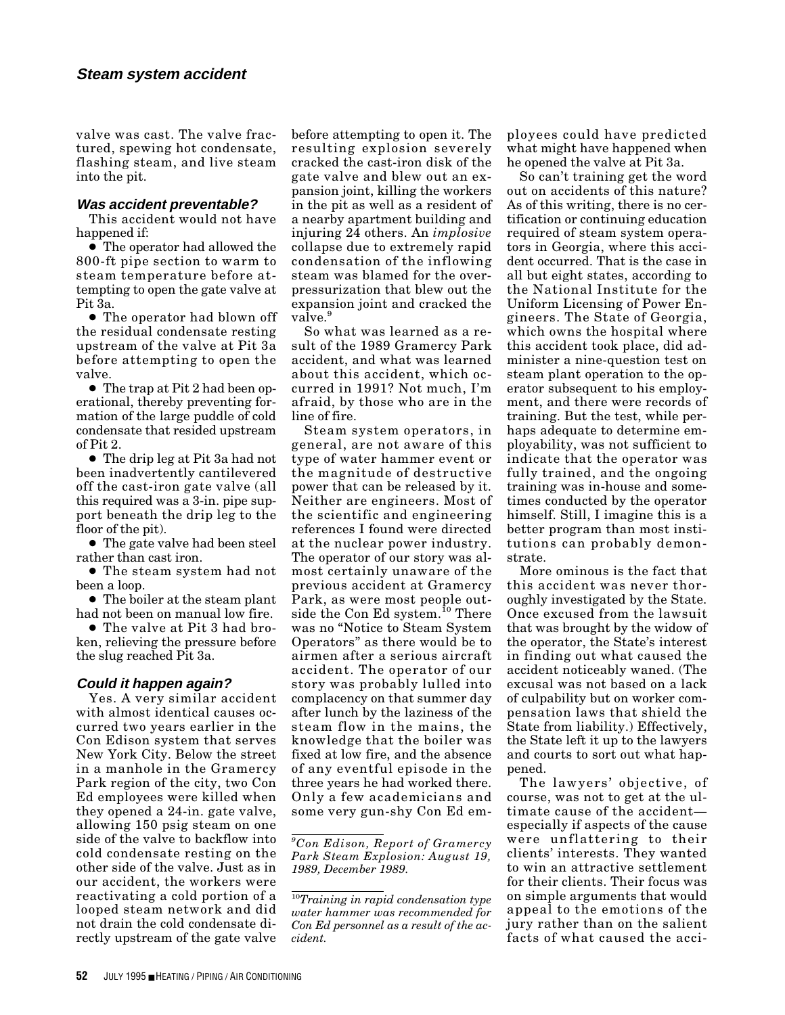valve was cast. The valve fractured, spewing hot condensate, flashing steam, and live steam into the pit.

### **Was accident preventable?**

This accident would not have happened if:

● The operator had allowed the 800-ft pipe section to warm to steam temperature before attempting to open the gate valve at Pit 3a.

● The operator had blown off the residual condensate resting upstream of the valve at Pit 3a before attempting to open the valve.

● The trap at Pit 2 had been operational, thereby preventing formation of the large puddle of cold condensate that resided upstream of Pit 2.

● The drip leg at Pit 3a had not been inadvertently cantilevered off the cast-iron gate valve (all this required was a 3-in. pipe support beneath the drip leg to the floor of the pit).

● The gate valve had been steel rather than cast iron.

● The steam system had not been a loop.

● The boiler at the steam plant had not been on manual low fire.

● The valve at Pit 3 had broken, relieving the pressure before the slug reached Pit 3a.

# **Could it happen again?**

Yes. A very similar accident with almost identical causes occurred two years earlier in the Con Edison system that serves New York City. Below the street in a manhole in the Gramercy Park region of the city, two Con Ed employees were killed when they opened a 24-in. gate valve, allowing 150 psig steam on one side of the valve to backflow into cold condensate resting on the other side of the valve. Just as in our accident, the workers were reactivating a cold portion of a looped steam network and did not drain the cold condensate directly upstream of the gate valve

before attempting to open it. The resulting explosion severely cracked the cast-iron disk of the gate valve and blew out an expansion joint, killing the workers in the pit as well as a resident of a nearby apartment building and injuring 24 others. An *implosive* collapse due to extremely rapid condensation of the inflowing steam was blamed for the overpressurization that blew out the expansion joint and cracked the valve.<sup>9</sup>

So what was learned as a result of the 1989 Gramercy Park accident, and what was learned about this accident, which occurred in 1991? Not much, I'm afraid, by those who are in the line of fire.

Steam system operators, in general, are not aware of this type of water hammer event or the magnitude of destructive power that can be released by it. Neither are engineers. Most of the scientific and engineering references I found were directed at the nuclear power industry. The operator of our story was almost certainly unaware of the previous accident at Gramercy Park, as were most people outside the Con Ed system.<sup>10</sup> There was no "Notice to Steam System Operators" as there would be to airmen after a serious aircraft accident. The operator of our story was probably lulled into complacency on that summer day after lunch by the laziness of the steam flow in the mains, the knowledge that the boiler was fixed at low fire, and the absence of any eventful episode in the three years he had worked there. Only a few academicians and some very gun-shy Con Ed employees could have predicted what might have happened when he opened the valve at Pit 3a.

So can't training get the word out on accidents of this nature? As of this writing, there is no certification or continuing education required of steam system operators in Georgia, where this accident occurred. That is the case in all but eight states, according to the National Institute for the Uniform Licensing of Power Engineers. The State of Georgia, which owns the hospital where this accident took place, did administer a nine-question test on steam plant operation to the operator subsequent to his employment, and there were records of training. But the test, while perhaps adequate to determine employability, was not sufficient to indicate that the operator was fully trained, and the ongoing training was in-house and sometimes conducted by the operator himself. Still, I imagine this is a better program than most institutions can probably demonstrate.

More ominous is the fact that this accident was never thoroughly investigated by the State. Once excused from the lawsuit that was brought by the widow of the operator, the State's interest in finding out what caused the accident noticeably waned. (The excusal was not based on a lack of culpability but on worker compensation laws that shield the State from liability.) Effectively, the State left it up to the lawyers and courts to sort out what happened.

The lawyers' objective, of course, was not to get at the ultimate cause of the accident especially if aspects of the cause were unflattering to their clients' interests. They wanted to win an attractive settlement for their clients. Their focus was on simple arguments that would appeal to the emotions of the jury rather than on the salient facts of what caused the acci-

*<sup>9</sup> Con Edison, Report of Gramercy Park Steam Explosion: August 19, 1989, December 1989.*

<sup>10</sup>*Training in rapid condensation type water hammer was recommended for Con Ed personnel as a result of the accident.*